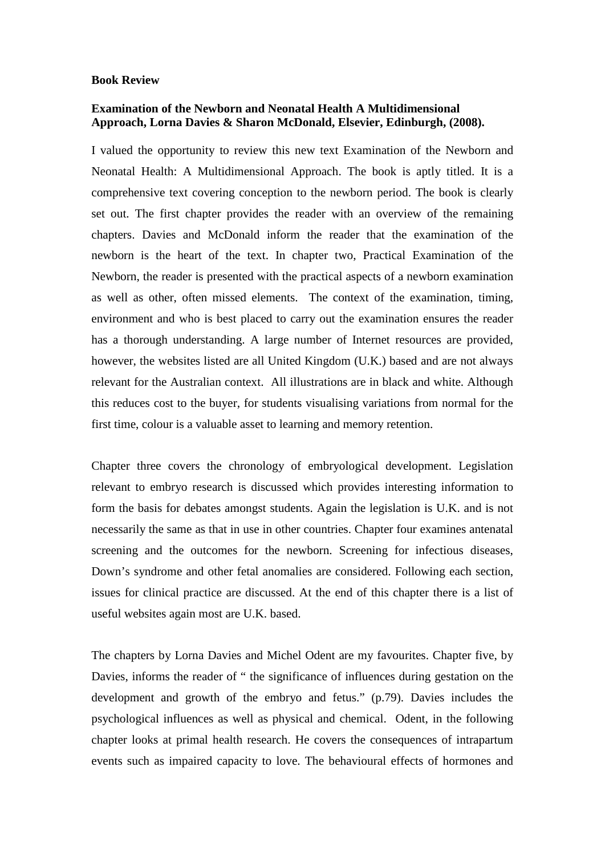## **Book Review**

## **Examination of the Newborn and Neonatal Health A Multidimensional Approach, Lorna Davies & Sharon McDonald, Elsevier, Edinburgh, (2008).**

I valued the opportunity to review this new text Examination of the Newborn and Neonatal Health: A Multidimensional Approach. The book is aptly titled. It is a comprehensive text covering conception to the newborn period. The book is clearly set out. The first chapter provides the reader with an overview of the remaining chapters. Davies and McDonald inform the reader that the examination of the newborn is the heart of the text. In chapter two, Practical Examination of the Newborn, the reader is presented with the practical aspects of a newborn examination as well as other, often missed elements. The context of the examination, timing, environment and who is best placed to carry out the examination ensures the reader has a thorough understanding. A large number of Internet resources are provided, however, the websites listed are all United Kingdom (U.K.) based and are not always relevant for the Australian context. All illustrations are in black and white. Although this reduces cost to the buyer, for students visualising variations from normal for the first time, colour is a valuable asset to learning and memory retention.

Chapter three covers the chronology of embryological development. Legislation relevant to embryo research is discussed which provides interesting information to form the basis for debates amongst students. Again the legislation is U.K. and is not necessarily the same as that in use in other countries. Chapter four examines antenatal screening and the outcomes for the newborn. Screening for infectious diseases, Down's syndrome and other fetal anomalies are considered. Following each section, issues for clinical practice are discussed. At the end of this chapter there is a list of useful websites again most are U.K. based.

The chapters by Lorna Davies and Michel Odent are my favourites. Chapter five, by Davies, informs the reader of " the significance of influences during gestation on the development and growth of the embryo and fetus." (p.79). Davies includes the psychological influences as well as physical and chemical. Odent, in the following chapter looks at primal health research. He covers the consequences of intrapartum events such as impaired capacity to love. The behavioural effects of hormones and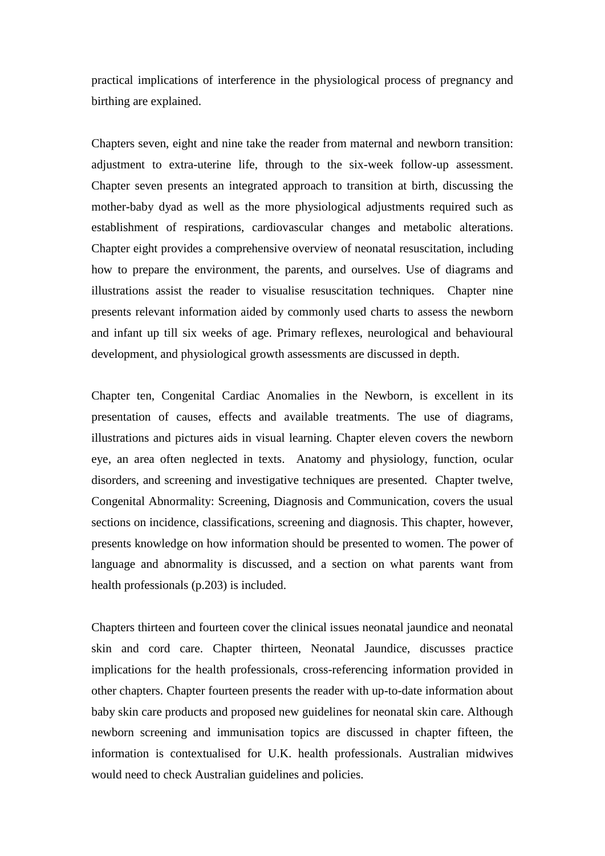practical implications of interference in the physiological process of pregnancy and birthing are explained.

Chapters seven, eight and nine take the reader from maternal and newborn transition: adjustment to extra-uterine life, through to the six-week follow-up assessment. Chapter seven presents an integrated approach to transition at birth, discussing the mother-baby dyad as well as the more physiological adjustments required such as establishment of respirations, cardiovascular changes and metabolic alterations. Chapter eight provides a comprehensive overview of neonatal resuscitation, including how to prepare the environment, the parents, and ourselves. Use of diagrams and illustrations assist the reader to visualise resuscitation techniques. Chapter nine presents relevant information aided by commonly used charts to assess the newborn and infant up till six weeks of age. Primary reflexes, neurological and behavioural development, and physiological growth assessments are discussed in depth.

Chapter ten, Congenital Cardiac Anomalies in the Newborn, is excellent in its presentation of causes, effects and available treatments. The use of diagrams, illustrations and pictures aids in visual learning. Chapter eleven covers the newborn eye, an area often neglected in texts. Anatomy and physiology, function, ocular disorders, and screening and investigative techniques are presented. Chapter twelve, Congenital Abnormality: Screening, Diagnosis and Communication, covers the usual sections on incidence, classifications, screening and diagnosis. This chapter, however, presents knowledge on how information should be presented to women. The power of language and abnormality is discussed, and a section on what parents want from health professionals (p.203) is included.

Chapters thirteen and fourteen cover the clinical issues neonatal jaundice and neonatal skin and cord care. Chapter thirteen, Neonatal Jaundice, discusses practice implications for the health professionals, cross-referencing information provided in other chapters. Chapter fourteen presents the reader with up-to-date information about baby skin care products and proposed new guidelines for neonatal skin care. Although newborn screening and immunisation topics are discussed in chapter fifteen, the information is contextualised for U.K. health professionals. Australian midwives would need to check Australian guidelines and policies.